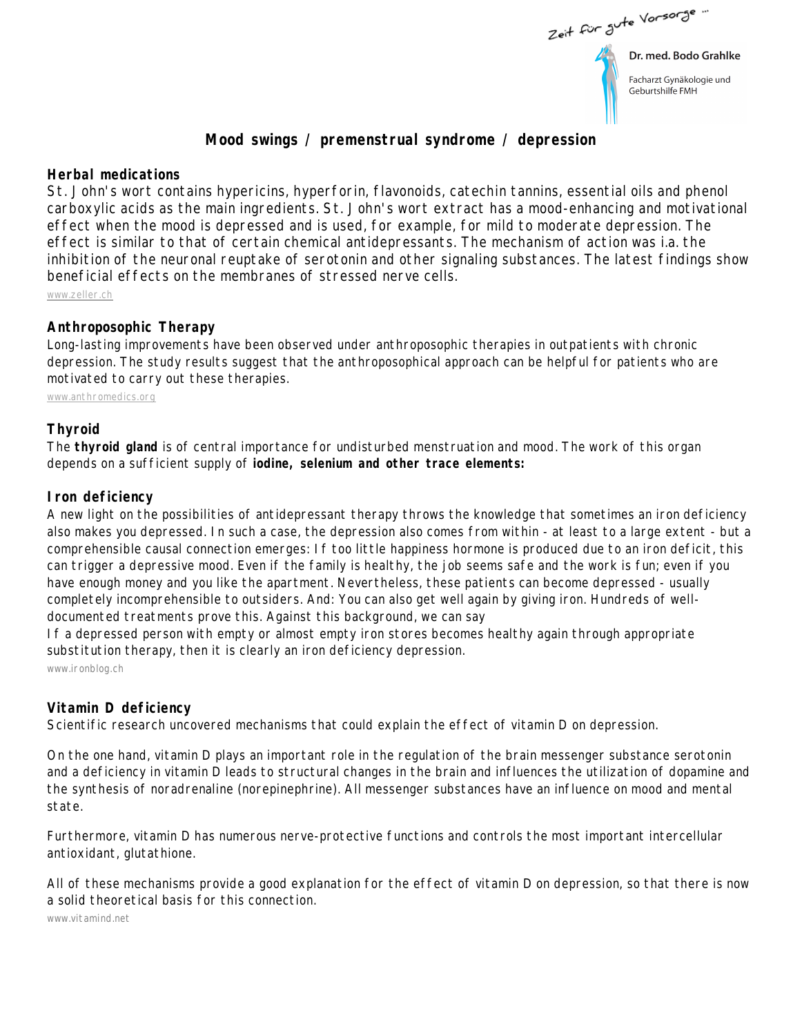Zeit für Jute Vorsorge

Dr. med. Bodo Grahlke

Facharzt Gynäkologie und Geburtshilfe FMH

# **Mood swings / premenstrual syndrome / depression**

## **Herbal medications**

St. John's wort contains hypericins, hyperforin, flavonoids, catechin tannins, essential oils and phenol carboxylic acids as the main ingredients. St. John's wort extract has a mood-enhancing and motivational effect when the mood is depressed and is used, for example, for mild to moderate depression. The effect is similar to that of certain chemical antidepressants. The mechanism of action was i.a. the inhibition of the neuronal reuptake of serotonin and other signaling substances. The latest findings show beneficial effects on the membranes of stressed nerve cells.

[www.zeller.ch](www.zeller.ch  ) 

### **Anthroposophic Therapy**

Long-lasting improvements have been observed under anthroposophic therapies in outpatients with chronic depression. The study results suggest that the anthroposophical approach can be helpful for patients who are motivated to carry out these therapies.

<www.anthromedics.org>

### **Thyroid**

The **thyroid gland** is of central importance for undisturbed menstruation and mood. The work of this organ depends on a sufficient supply of **iodine, selenium and other trace elements:** 

#### **Iron deficiency**

A new light on the possibilities of antidepressant therapy throws the knowledge that sometimes an iron deficiency also makes you depressed. In such a case, the depression also comes from within - at least to a large extent - but a comprehensible causal connection emerges: If too little happiness hormone is produced due to an iron deficit, this can trigger a depressive mood. Even if the family is healthy, the job seems safe and the work is fun; even if you have enough money and you like the apartment. Nevertheless, these patients can become depressed - usually completely incomprehensible to outsiders. And: You can also get well again by giving iron. Hundreds of welldocumented treatments prove this. Against this background, we can say

If a depressed person with empty or almost empty iron stores becomes healthy again through appropriate substitution therapy, then it is clearly an iron deficiency depression.

[www.ironblog.ch](www.ironblog.ch ) 

#### **Vitamin D deficiency**

Scientific research uncovered mechanisms that could explain the effect of vitamin D on depression.

On the one hand, vitamin D plays an important role in the regulation of the brain messenger substance serotonin and a deficiency in vitamin D leads to structural changes in the brain and influences the utilization of dopamine and the synthesis of noradrenaline (norepinephrine). All messenger substances have an influence on mood and mental state.

Furthermore, vitamin D has numerous nerve-protective functions and controls the most important intercellular antioxidant, glutathione.

All of these mechanisms provide a good explanation for the effect of vitamin D on depression, so that there is now a solid theoretical basis for this connection.

[www.vitamind.net](www.vitamind.net )